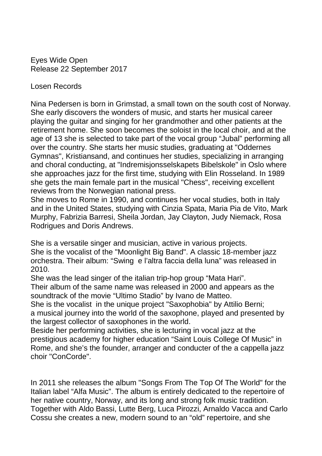Eyes Wide Open Release 22 September 2017

Losen Records

Nina Pedersen is born in Grimstad, a small town on the south cost of Norway. She early discovers the wonders of music, and starts her musical career playing the guitar and singing for her grandmother and other patients at the retirement home. She soon becomes the soloist in the local choir, and at the age of 13 she is selected to take part of the vocal group "Jubal" performing all over the country. She starts her music studies, graduating at "Oddernes Gymnas", Kristiansand, and continues her studies, specializing in arranging and choral conducting, at "Indremisjonsselskapets Bibelskole" in Oslo where she approaches jazz for the first time, studying with Elin Rosseland. In 1989 she gets the main female part in the musical "Chess", receiving excellent reviews from the Norwegian national press.

She moves to Rome in 1990, and continues her vocal studies, both in Italy and in the United States, studying with Cinzia Spata, Maria Pia de Vito, Mark Murphy, Fabrizia Barresi, Sheila Jordan, Jay Clayton, Judy Niemack, Rosa Rodrigues and Doris Andrews.

She is a versatile singer and musician, active in various projects.

She is the vocalist of the "Moonlight Big Band". A classic 18-member jazz orchestra. Their album: "Swing e l'altra faccia della luna" was released in 2010.

She was the lead singer of the italian trip-hop group "Mata Hari".

Their album of the same name was released in 2000 and appears as the soundtrack of the movie "Ultimo Stadio" by Ivano de Matteo.

She is the vocalist in the unique project "Saxophobia" by Attilio Berni; a musical journey into the world of the saxophone, played and presented by the largest collector of saxophones in the world.

Beside her performing activities, she is lecturing in vocal jazz at the prestigious academy for higher education "Saint Louis College Of Music" in Rome, and she's the founder, arranger and conducter of the a cappella jazz choir "ConCorde".

In 2011 she releases the album "Songs From The Top Of The World" for the Italian label "Alfa Music". The album is entirely dedicated to the repertoire of her native country, Norway, and its long and strong folk music tradition. Together with Aldo Bassi, Lutte Berg, Luca Pirozzi, Arnaldo Vacca and Carlo Cossu she creates a new, modern sound to an "old" repertoire, and she